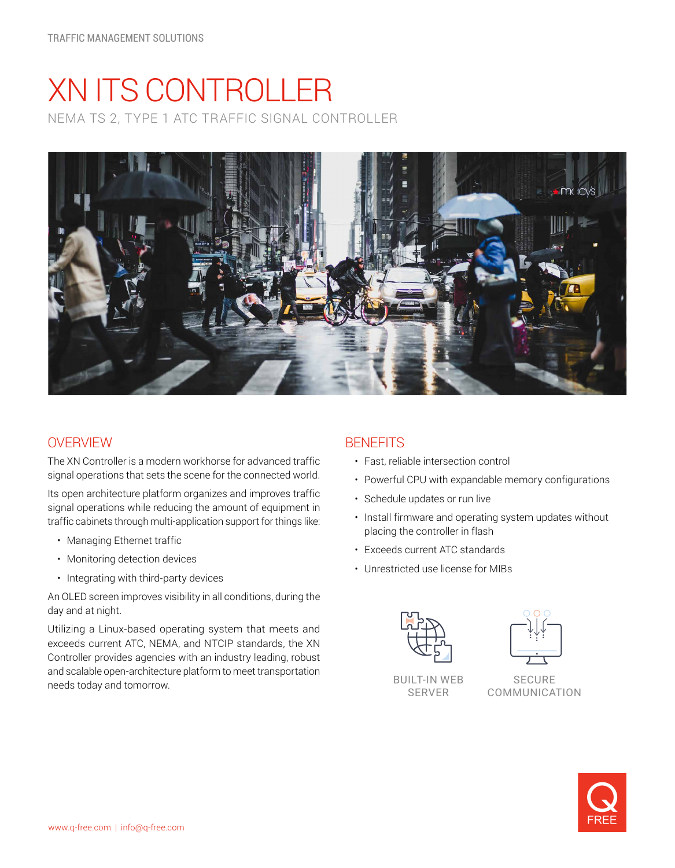# XN ITS CONTROLLER NEMA TS 2, TYPE 1 ATC TRAFFIC SIGNAL CONTROLLER



## **OVERVIEW**

The XN Controller is a modern workhorse for advanced traffic signal operations that sets the scene for the connected world.

Its open architecture platform organizes and improves traffic signal operations while reducing the amount of equipment in traffic cabinets through multi-application support for things like:

- Managing Ethernet traffic
- Monitoring detection devices
- Integrating with third-party devices

An OLED screen improves visibility in all conditions, during the day and at night.

Utilizing a Linux-based operating system that meets and exceeds current ATC, NEMA, and NTCIP standards, the XN Controller provides agencies with an industry leading, robust and scalable open-architecture platform to meet transportation needs today and tomorrow. BUILT-IN WEB

### **BENEFITS**

- Fast, reliable intersection control
- Powerful CPU with expandable memory configurations
- Schedule updates or run live
- Install firmware and operating system updates without placing the controller in flash
- Exceeds current ATC standards
- Unrestricted use license for MIBs





SERVER

**SECURE** COMMUNICATION